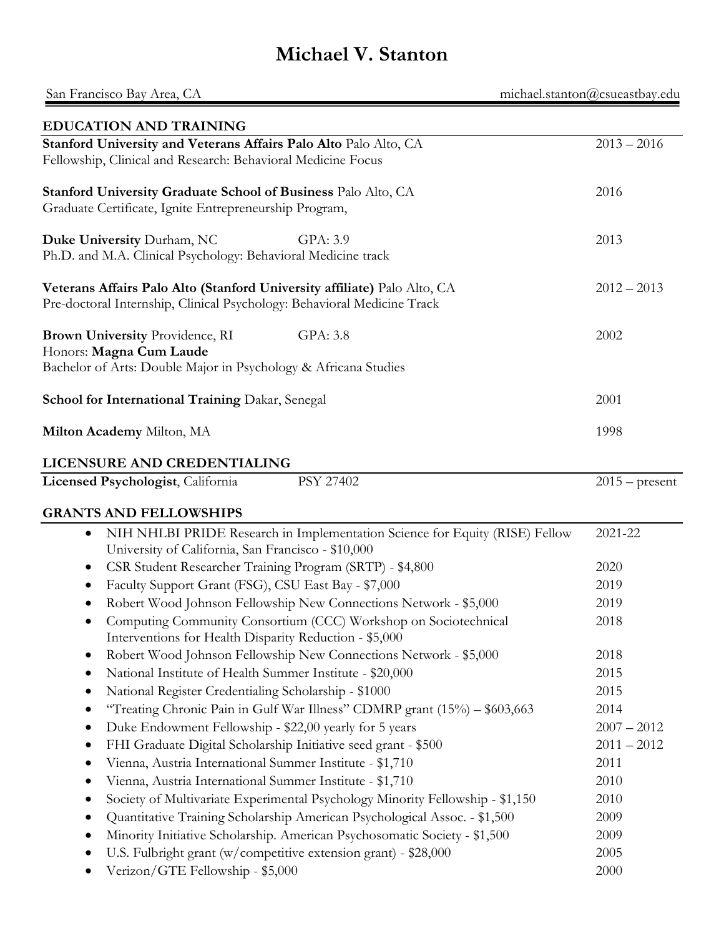# **Michael V. Stanton**

| michael.stanton@csueastbay.edu<br>San Francisco Bay Area, CA                                                                                        |                  |  |
|-----------------------------------------------------------------------------------------------------------------------------------------------------|------------------|--|
| <b>EDUCATION AND TRAINING</b>                                                                                                                       |                  |  |
| Stanford University and Veterans Affairs Palo Alto Palo Alto, CA<br>Fellowship, Clinical and Research: Behavioral Medicine Focus                    | $2013 - 2016$    |  |
| Stanford University Graduate School of Business Palo Alto, CA<br>Graduate Certificate, Ignite Entrepreneurship Program,                             | 2016             |  |
| Duke University Durham, NC<br>GPA: 3.9<br>Ph.D. and M.A. Clinical Psychology: Behavioral Medicine track                                             | 2013             |  |
| Veterans Affairs Palo Alto (Stanford University affiliate) Palo Alto, CA<br>Pre-doctoral Internship, Clinical Psychology: Behavioral Medicine Track | $2012 - 2013$    |  |
| Brown University Providence, RI<br>GPA: 3.8<br>Honors: Magna Cum Laude<br>Bachelor of Arts: Double Major in Psychology & Africana Studies           | 2002             |  |
| School for International Training Dakar, Senegal                                                                                                    | 2001             |  |
| Milton Academy Milton, MA                                                                                                                           | 1998             |  |
| LICENSURE AND CREDENTIALING                                                                                                                         |                  |  |
| Licensed Psychologist, California<br>PSY 27402                                                                                                      | $2015$ – present |  |
| <b>GRANTS AND FELLOWSHIPS</b>                                                                                                                       |                  |  |
| NIH NHLBI PRIDE Research in Implementation Science for Equity (RISE) Fellow<br>$\bullet$<br>University of California, San Francisco - \$10,000      | 2021-22          |  |
| CSR Student Researcher Training Program (SRTP) - \$4,800<br>$\bullet$                                                                               | 2020             |  |
| Faculty Support Grant (FSG), CSU East Bay - \$7,000                                                                                                 | 2019             |  |
| Robert Wood Johnson Fellowship New Connections Network - \$5,000<br>$\bullet$                                                                       | 2019             |  |
| Computing Community Consortium (CCC) Workshop on Sociotechnical<br>Interventions for Health Disparity Reduction - \$5,000                           | 2018             |  |
| Robert Wood Johnson Fellowship New Connections Network - \$5,000<br>$\bullet$                                                                       | 2018             |  |
| National Institute of Health Summer Institute - \$20,000<br>$\bullet$                                                                               | 2015             |  |
| National Register Credentialing Scholarship - \$1000<br>$\bullet$                                                                                   | 2015             |  |
| "Treating Chronic Pain in Gulf War Illness" CDMRP grant (15%) - \$603,663<br>$\bullet$                                                              | 2014             |  |
| Duke Endowment Fellowship - \$22,00 yearly for 5 years<br>$\bullet$                                                                                 | $2007 - 2012$    |  |
| FHI Graduate Digital Scholarship Initiative seed grant - \$500<br>$\bullet$                                                                         | $2011 - 2012$    |  |
| Vienna, Austria International Summer Institute - \$1,710<br>$\bullet$                                                                               | 2011             |  |
| Vienna, Austria International Summer Institute - \$1,710<br>$\bullet$                                                                               | 2010             |  |
| Society of Multivariate Experimental Psychology Minority Fellowship - \$1,150<br>$\bullet$                                                          | 2010             |  |
| Quantitative Training Scholarship American Psychological Assoc. - \$1,500<br>$\bullet$                                                              | 2009             |  |
| Minority Initiative Scholarship. American Psychosomatic Society - \$1,500<br>$\bullet$                                                              | 2009             |  |
| U.S. Fulbright grant (w/competitive extension grant) - \$28,000                                                                                     | 2005             |  |
| Verizon/GTE Fellowship - \$5,000                                                                                                                    | 2000             |  |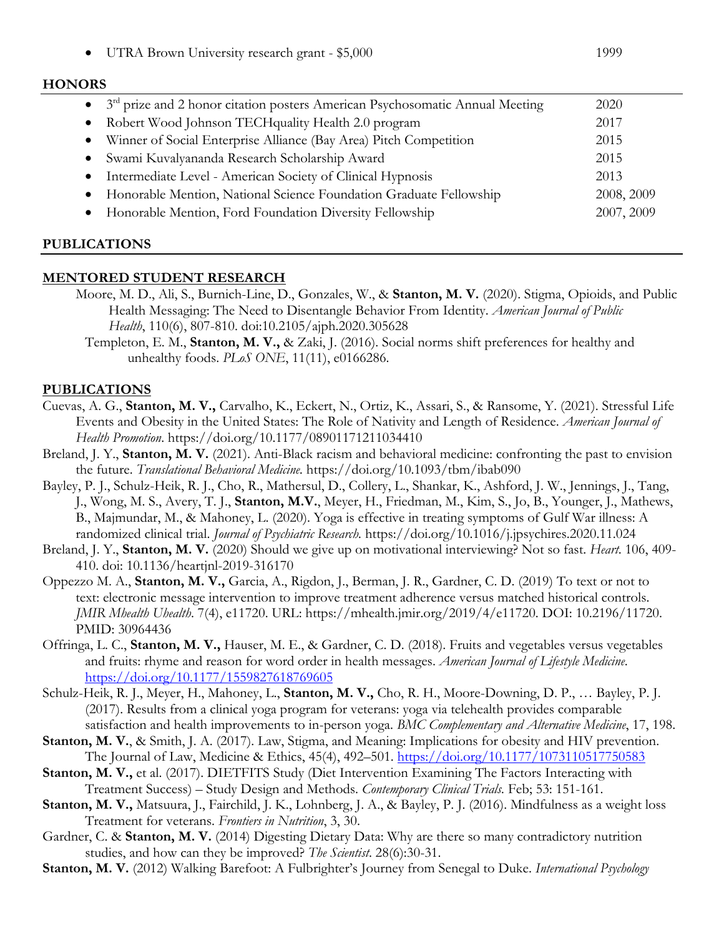UTRA Brown University research grant - \$5,000 1999

#### **HONORS**

| • $3rd$ prize and 2 honor citation posters American Psychosomatic Annual Meeting | 2020       |
|----------------------------------------------------------------------------------|------------|
| • Robert Wood Johnson TECH quality Health 2.0 program                            | 2017       |
| Winner of Social Enterprise Alliance (Bay Area) Pitch Competition<br>$\bullet$   | 2015       |
| • Swami Kuvalyananda Research Scholarship Award                                  | 2015       |
| • Intermediate Level - American Society of Clinical Hypnosis                     | 2013       |
| • Honorable Mention, National Science Foundation Graduate Fellowship             | 2008, 2009 |
| • Honorable Mention, Ford Foundation Diversity Fellowship                        | 2007, 2009 |
|                                                                                  |            |

#### **PUBLICATIONS**

#### **MENTORED STUDENT RESEARCH**

- Moore, M. D., Ali, S., Burnich-Line, D., Gonzales, W., & **Stanton, M. V.** (2020). Stigma, Opioids, and Public Health Messaging: The Need to Disentangle Behavior From Identity. *American Journal of Public Health*, 110(6), 807-810. doi:10.2105/ajph.2020.305628
	- Templeton, E. M., **Stanton, M. V.,** & Zaki, J. (2016). Social norms shift preferences for healthy and unhealthy foods. *PLoS ONE*, 11(11), e0166286.

#### **PUBLICATIONS**

- Cuevas, A. G., **Stanton, M. V.,** Carvalho, K., Eckert, N., Ortiz, K., Assari, S., & Ransome, Y. (2021). Stressful Life Events and Obesity in the United States: The Role of Nativity and Length of Residence. *American Journal of Health Promotion*. https://doi.org/10.1177/08901171211034410
- Breland, J. Y., **Stanton, M. V.** (2021). Anti-Black racism and behavioral medicine: confronting the past to envision the future. *Translational Behavioral Medicine.* https://doi.org/10.1093/tbm/ibab090
- Bayley, P. J., Schulz-Heik, R. J., Cho, R., Mathersul, D., Collery, L., Shankar, K., Ashford, J. W., Jennings, J., Tang, J., Wong, M. S., Avery, T. J., **Stanton, M.V.**, Meyer, H., Friedman, M., Kim, S., Jo, B., Younger, J., Mathews, B., Majmundar, M., & Mahoney, L. (2020). Yoga is effective in treating symptoms of Gulf War illness: A randomized clinical trial. *Journal of Psychiatric Research.* <https://doi.org/10.1016/j.jpsychires.2020.11.024>
- Breland, J. Y., **Stanton, M. V.** (2020) Should we give up on motivational interviewing? Not so fast. *Heart*. 106, 409- 410. doi: 10.1136/heartjnl-2019-316170
- Oppezzo M. A., **Stanton, M. V.,** Garcia, A., Rigdon, J., Berman, J. R., Gardner, C. D. (2019) To text or not to text: electronic message intervention to improve treatment adherence versus matched historical controls. *JMIR Mhealth Uhealth*. 7(4), e11720. URL: https://mhealth.jmir.org/2019/4/e11720. DOI: 10.2196/11720. PMID: 30964436
- Offringa, L. C., **Stanton, M. V.,** Hauser, M. E., & Gardner, C. D. (2018). Fruits and vegetables versus vegetables and fruits: rhyme and reason for word order in health messages. *American Journal of Lifestyle Medicine*. <https://doi.org/10.1177/1559827618769605>
- Schulz-Heik, R. J., Meyer, H., Mahoney, L., **Stanton, M. V.,** Cho, R. H., Moore-Downing, D. P., … Bayley, P. J. (2017). Results from a clinical yoga program for veterans: yoga via telehealth provides comparable satisfaction and health improvements to in-person yoga. *BMC Complementary and Alternative Medicine*, 17, 198.
- **Stanton, M. V.**, & Smith, J. A. (2017). Law, Stigma, and Meaning: Implications for obesity and HIV prevention. The Journal of Law, Medicine & Ethics, 45(4), 492–501.<https://doi.org/10.1177/1073110517750583>
- Stanton, M. V., et al. (2017). DIETFITS Study (Diet Intervention Examining The Factors Interacting with Treatment Success) – Study Design and Methods. *Contemporary Clinical Trials.* Feb; 53: 151-161.
- **Stanton, M. V.,** Matsuura, J., Fairchild, J. K., Lohnberg, J. A., & Bayley, P. J. (2016). Mindfulness as a weight loss Treatment for veterans. *Frontiers in Nutrition*, 3, 30.
- Gardner, C. & **Stanton, M. V.** (2014) Digesting Dietary Data: Why are there so many contradictory nutrition studies, and how can they be improved? *The Scientist*. 28(6):30-31.
- **Stanton, M. V.** (2012) Walking Barefoot: A Fulbrighter's Journey from Senegal to Duke. *International Psychology*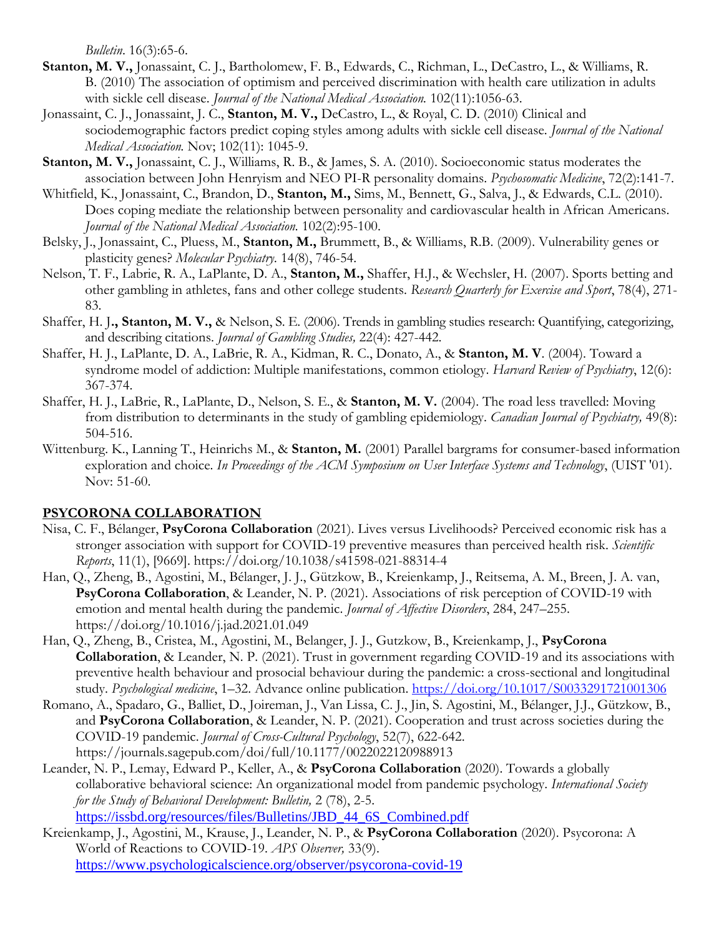*Bulletin*. 16(3):65-6.

- **Stanton, M. V.,** Jonassaint, C. J., Bartholomew, F. B., Edwards, C., Richman, L., DeCastro, L., & Williams, R. B. (2010) The association of optimism and perceived discrimination with health care utilization in adults with sickle cell disease. *Journal of the National Medical Association.* 102(11):1056-63.
- Jonassaint, C. J., Jonassaint, J. C., **Stanton, M. V.,** DeCastro, L., & Royal, C. D. (2010) Clinical and sociodemographic factors predict coping styles among adults with sickle cell disease. *Journal of the National Medical Association.* Nov; 102(11): 1045-9.
- **Stanton, M. V.,** Jonassaint, C. J., Williams, R. B., & James, S. A. (2010). Socioeconomic status moderates the association between John Henryism and NEO PI-R personality domains. *Psychosomatic Medicine*, 72(2):141-7.
- Whitfield, K., Jonassaint, C., Brandon, D., **Stanton, M.,** Sims, M., Bennett, G., Salva, J., & Edwards, C.L. (2010). Does coping mediate the relationship between personality and cardiovascular health in African Americans. *Journal of the National Medical Association.* 102(2):95-100.
- Belsky, J., Jonassaint, C., Pluess, M., **Stanton, M.,** Brummett, B., & Williams, R.B. (2009). Vulnerability genes or plasticity genes? *Molecular Psychiatry.* 14(8), 746-54.
- Nelson, T. F., Labrie, R. A., LaPlante, D. A., **Stanton, M.,** Shaffer, H.J., & Wechsler, H. (2007). Sports betting and other gambling in athletes, fans and other college students. *Research Quarterly for Exercise and Sport*, 78(4), 271- 83.
- Shaffer, H. J**., Stanton, M. V.,** & Nelson, S. E. (2006). Trends in gambling studies research: Quantifying, categorizing, and describing citations. *Journal of Gambling Studies,* 22(4): 427-442.
- Shaffer, H. J., LaPlante, D. A., LaBrie, R. A., Kidman, R. C., Donato, A., & **Stanton, M. V**. (2004). Toward a syndrome model of addiction: Multiple manifestations, common etiology. *Harvard Review of Psychiatry*, 12(6): 367-374.
- Shaffer, H. J., LaBrie, R., LaPlante, D., Nelson, S. E., & **Stanton, M. V.** (2004). The road less travelled: Moving from distribution to determinants in the study of gambling epidemiology. *Canadian Journal of Psychiatry,* 49(8): 504-516.
- Wittenburg. K., Lanning T., Heinrichs M., & **Stanton, M.** (2001) Parallel bargrams for consumer-based information exploration and choice. *In Proceedings of the ACM Symposium on User Interface Systems and Technology*, (UIST '01). Nov: 51-60.

## **PSYCORONA COLLABORATION**

- Nisa, C. F., Bélanger, **PsyCorona Collaboration** (2021). Lives versus Livelihoods? Perceived economic risk has a stronger association with support for COVID-19 preventive measures than perceived health risk. *Scientific Reports*, 11(1), [9669]. https://doi.org/10.1038/s41598-021-88314-4
- Han, Q., Zheng, B., Agostini, M., Bélanger, J. J., Gützkow, B., Kreienkamp, J., Reitsema, A. M., Breen, J. A. van, **PsyCorona Collaboration**, & Leander, N. P. (2021). Associations of risk perception of COVID-19 with emotion and mental health during the pandemic. *Journal of Affective Disorders*, 284, 247–255. <https://doi.org/10.1016/j.jad.2021.01.049>
- Han, Q., Zheng, B., Cristea, M., Agostini, M., Belanger, J. J., Gutzkow, B., Kreienkamp, J., **PsyCorona Collaboration**, & Leander, N. P. (2021). Trust in government regarding COVID-19 and its associations with preventive health behaviour and prosocial behaviour during the pandemic: a cross-sectional and longitudinal study. *Psychological medicine*, 1–32. Advance online publication.<https://doi.org/10.1017/S0033291721001306>
- Romano, A., Spadaro, G., Balliet, D., Joireman, J., Van Lissa, C. J., Jin, S. Agostini, M., Bélanger, J.J., Gützkow, B., and **PsyCorona Collaboration**, & Leander, N. P. (2021). Cooperation and trust across societies during the COVID-19 pandemic. *Journal of Cross-Cultural Psychology*, 52(7), 622-642. https://journals.sagepub.com/doi/full/10.1177/0022022120988913
- Leander, N. P., Lemay, Edward P., Keller, A., & **PsyCorona Collaboration** (2020). Towards a globally collaborative behavioral science: An organizational model from pandemic psychology. *International Society for the Study of Behavioral Development: Bulletin,* 2 (78), 2-5. [https://issbd.org/resources/files/Bulletins/JBD\\_44\\_6S\\_Combined.pdf](https://issbd.org/resources/files/Bulletins/JBD_44_6S_Combined.pdf)

Kreienkamp, J., Agostini, M., Krause, J., Leander, N. P., & **PsyCorona Collaboration** (2020). Psycorona: A World of Reactions to COVID-19. *APS Observer,* 33(9). <https://www.psychologicalscience.org/observer/psycorona-covid-19>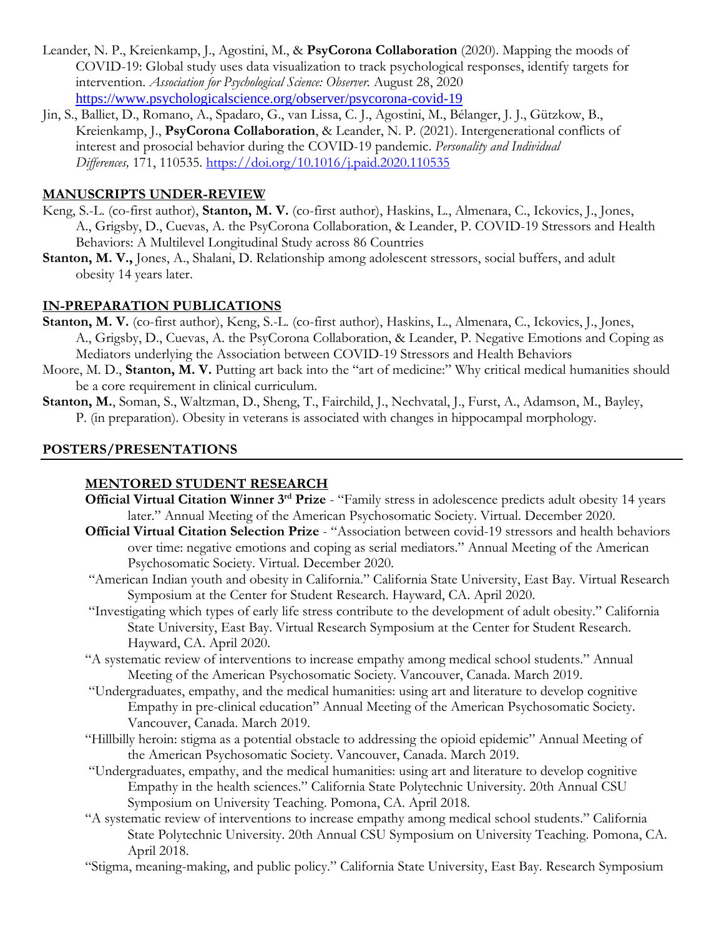- Leander, N. P., Kreienkamp, J., Agostini, M., & **PsyCorona Collaboration** (2020). Mapping the moods of COVID-19: Global study uses data visualization to track psychological responses, identify targets for intervention. *Association for Psychological Science: Observer.* August 28, 2020 <https://www.psychologicalscience.org/observer/psycorona-covid-19>
- Jin, S., Balliet, D., Romano, A., Spadaro, G., van Lissa, C. J., Agostini, M., Bélanger, J. J., Gützkow, B., Kreienkamp, J., **PsyCorona Collaboration**, & Leander, N. P. (2021). Intergenerational conflicts of interest and prosocial behavior during the COVID-19 pandemic. *Personality and Individual Differences,* 171, 110535.<https://doi.org/10.1016/j.paid.2020.110535>

#### **MANUSCRIPTS UNDER-REVIEW**

- Keng, S.-L. (co-first author), **Stanton, M. V.** (co-first author), Haskins, L., Almenara, C., Ickovics, J., Jones, A., Grigsby, D., Cuevas, A. the PsyCorona Collaboration, & Leander, P. COVID-19 Stressors and Health Behaviors: A Multilevel Longitudinal Study across 86 Countries
- **Stanton, M. V.,** Jones, A., Shalani, D. Relationship among adolescent stressors, social buffers, and adult obesity 14 years later.

#### **IN-PREPARATION PUBLICATIONS**

- **Stanton, M. V.** (co-first author), Keng, S.-L. (co-first author), Haskins, L., Almenara, C., Ickovics, J., Jones, A., Grigsby, D., Cuevas, A. the PsyCorona Collaboration, & Leander, P. Negative Emotions and Coping as Mediators underlying the Association between COVID-19 Stressors and Health Behaviors
- Moore, M. D., **Stanton, M. V.** Putting art back into the "art of medicine:" Why critical medical humanities should be a core requirement in clinical curriculum.
- **Stanton, M.**, Soman, S., Waltzman, D., Sheng, T., Fairchild, J., Nechvatal, J., Furst, A., Adamson, M., Bayley, P. (in preparation). Obesity in veterans is associated with changes in hippocampal morphology.

#### **POSTERS/PRESENTATIONS**

#### **MENTORED STUDENT RESEARCH**

- **Official Virtual Citation Winner 3rd Prize** "Family stress in adolescence predicts adult obesity 14 years later." Annual Meeting of the American Psychosomatic Society. Virtual. December 2020.
- **Official Virtual Citation Selection Prize** "Association between covid-19 stressors and health behaviors over time: negative emotions and coping as serial mediators." Annual Meeting of the American Psychosomatic Society. Virtual. December 2020.
- "American Indian youth and obesity in California." California State University, East Bay. Virtual Research Symposium at the Center for Student Research. Hayward, CA. April 2020.
- "Investigating which types of early life stress contribute to the development of adult obesity." California State University, East Bay. Virtual Research Symposium at the Center for Student Research. Hayward, CA. April 2020.
- "A systematic review of interventions to increase empathy among medical school students." Annual Meeting of the American Psychosomatic Society. Vancouver, Canada. March 2019.
- "Undergraduates, empathy, and the medical humanities: using art and literature to develop cognitive Empathy in pre-clinical education" Annual Meeting of the American Psychosomatic Society. Vancouver, Canada. March 2019.
- "Hillbilly heroin: stigma as a potential obstacle to addressing the opioid epidemic" Annual Meeting of the American Psychosomatic Society. Vancouver, Canada. March 2019.
- "Undergraduates, empathy, and the medical humanities: using art and literature to develop cognitive Empathy in the health sciences." California State Polytechnic University. 20th Annual CSU Symposium on University Teaching. Pomona, CA. April 2018.
- "A systematic review of interventions to increase empathy among medical school students." California State Polytechnic University. 20th Annual CSU Symposium on University Teaching. Pomona, CA. April 2018.
- "Stigma, meaning-making, and public policy." California State University, East Bay. Research Symposium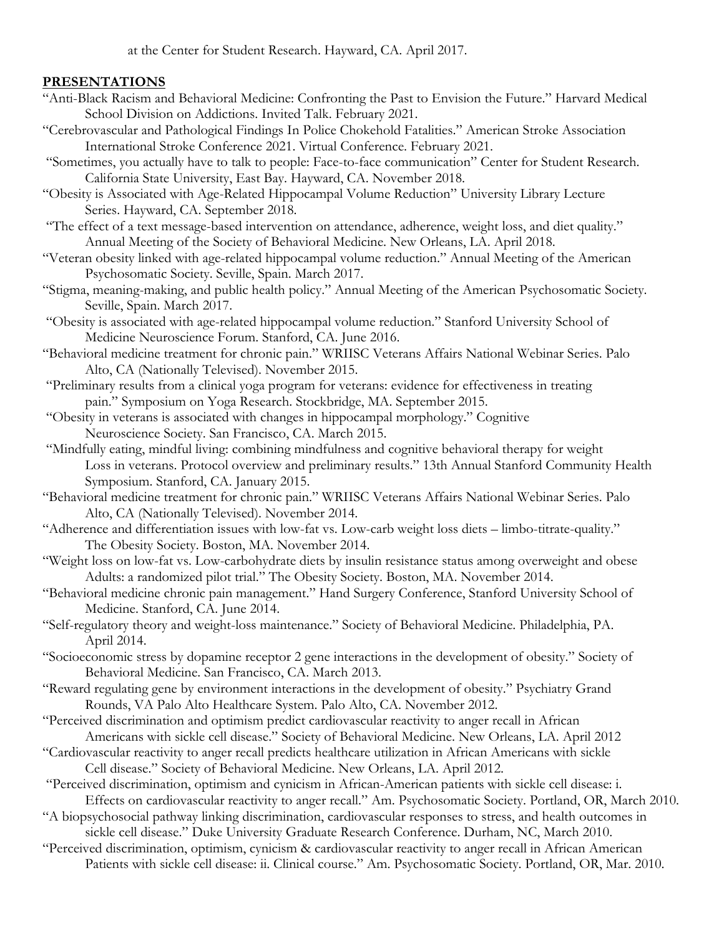at the Center for Student Research. Hayward, CA. April 2017.

#### **PRESENTATIONS**

- "Anti-Black Racism and Behavioral Medicine: Confronting the Past to Envision the Future." Harvard Medical School Division on Addictions. Invited Talk. February 2021.
- "Cerebrovascular and Pathological Findings In Police Chokehold Fatalities." American Stroke Association International Stroke Conference 2021. Virtual Conference. February 2021.
- "Sometimes, you actually have to talk to people: Face-to-face communication" Center for Student Research. California State University, East Bay. Hayward, CA. November 2018.
- "Obesity is Associated with Age-Related Hippocampal Volume Reduction" University Library Lecture Series. Hayward, CA. September 2018.
- "The effect of a text message-based intervention on attendance, adherence, weight loss, and diet quality." Annual Meeting of the Society of Behavioral Medicine. New Orleans, LA. April 2018.
- "Veteran obesity linked with age-related hippocampal volume reduction." Annual Meeting of the American Psychosomatic Society. Seville, Spain. March 2017.
- "Stigma, meaning-making, and public health policy." Annual Meeting of the American Psychosomatic Society. Seville, Spain. March 2017.
- "Obesity is associated with age-related hippocampal volume reduction." Stanford University School of Medicine Neuroscience Forum. Stanford, CA. June 2016.
- "Behavioral medicine treatment for chronic pain." WRIISC Veterans Affairs National Webinar Series. Palo Alto, CA (Nationally Televised). November 2015.
- "Preliminary results from a clinical yoga program for veterans: evidence for effectiveness in treating pain." Symposium on Yoga Research. Stockbridge, MA. September 2015.
- "Obesity in veterans is associated with changes in hippocampal morphology." Cognitive Neuroscience Society. San Francisco, CA. March 2015.
- "Mindfully eating, mindful living: combining mindfulness and cognitive behavioral therapy for weight Loss in veterans. Protocol overview and preliminary results." 13th Annual Stanford Community Health Symposium. Stanford, CA. January 2015.
- "Behavioral medicine treatment for chronic pain." WRIISC Veterans Affairs National Webinar Series. Palo Alto, CA (Nationally Televised). November 2014.
- "Adherence and differentiation issues with low-fat vs. Low-carb weight loss diets limbo-titrate-quality." The Obesity Society. Boston, MA. November 2014.
- "Weight loss on low-fat vs. Low-carbohydrate diets by insulin resistance status among overweight and obese Adults: a randomized pilot trial." The Obesity Society. Boston, MA. November 2014.
- "Behavioral medicine chronic pain management." Hand Surgery Conference, Stanford University School of Medicine. Stanford, CA. June 2014.
- "Self-regulatory theory and weight-loss maintenance." Society of Behavioral Medicine. Philadelphia, PA. April 2014.
- "Socioeconomic stress by dopamine receptor 2 gene interactions in the development of obesity." Society of Behavioral Medicine. San Francisco, CA. March 2013.
- "Reward regulating gene by environment interactions in the development of obesity." Psychiatry Grand Rounds, VA Palo Alto Healthcare System. Palo Alto, CA. November 2012.
- "Perceived discrimination and optimism predict cardiovascular reactivity to anger recall in African Americans with sickle cell disease." Society of Behavioral Medicine. New Orleans, LA. April 2012
- "Cardiovascular reactivity to anger recall predicts healthcare utilization in African Americans with sickle Cell disease." Society of Behavioral Medicine. New Orleans, LA. April 2012.
- "Perceived discrimination, optimism and cynicism in African-American patients with sickle cell disease: i. Effects on cardiovascular reactivity to anger recall." Am. Psychosomatic Society. Portland, OR, March 2010.
- "A biopsychosocial pathway linking discrimination, cardiovascular responses to stress, and health outcomes in sickle cell disease." Duke University Graduate Research Conference. Durham, NC, March 2010.
- "Perceived discrimination, optimism, cynicism & cardiovascular reactivity to anger recall in African American Patients with sickle cell disease: ii. Clinical course." Am. Psychosomatic Society. Portland, OR, Mar. 2010.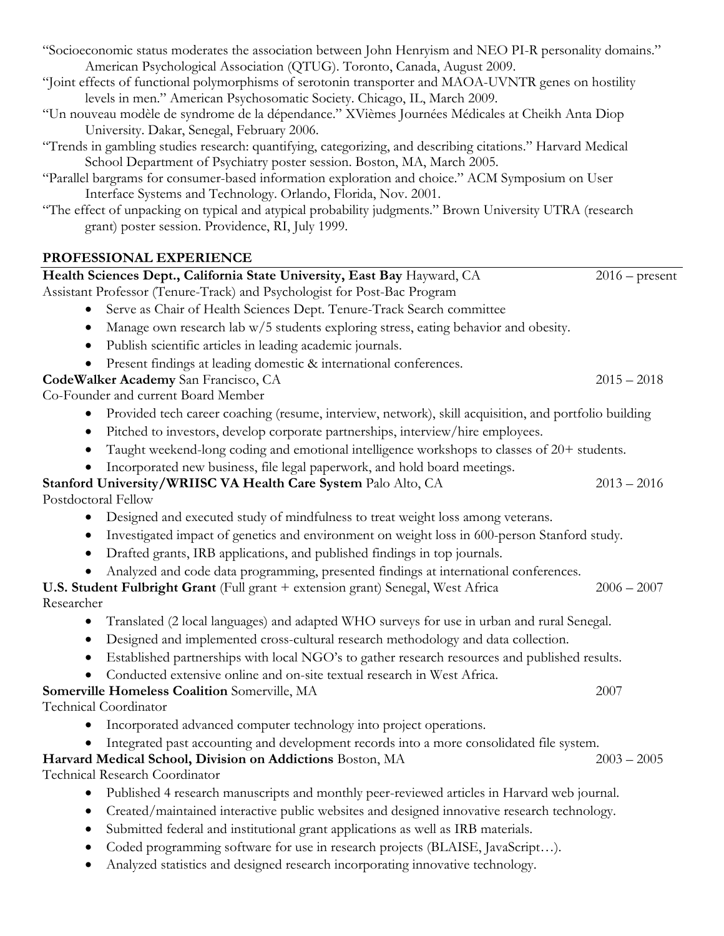| "Socioeconomic status moderates the association between John Henryism and NEO PI-R personality domains."<br>American Psychological Association (QTUG). Toronto, Canada, August 2009.<br>"Joint effects of functional polymorphisms of serotonin transporter and MAOA-UVNTR genes on hostility<br>levels in men." American Psychosomatic Society. Chicago, IL, March 2009.<br>"Un nouveau modèle de syndrome de la dépendance." XVièmes Journées Médicales at Cheikh Anta Diop |                  |
|-------------------------------------------------------------------------------------------------------------------------------------------------------------------------------------------------------------------------------------------------------------------------------------------------------------------------------------------------------------------------------------------------------------------------------------------------------------------------------|------------------|
| University. Dakar, Senegal, February 2006.<br>"Trends in gambling studies research: quantifying, categorizing, and describing citations." Harvard Medical                                                                                                                                                                                                                                                                                                                     |                  |
| School Department of Psychiatry poster session. Boston, MA, March 2005.<br>"Parallel bargrams for consumer-based information exploration and choice." ACM Symposium on User<br>Interface Systems and Technology. Orlando, Florida, Nov. 2001.                                                                                                                                                                                                                                 |                  |
| "The effect of unpacking on typical and atypical probability judgments." Brown University UTRA (research<br>grant) poster session. Providence, RI, July 1999.                                                                                                                                                                                                                                                                                                                 |                  |
| PROFESSIONAL EXPERIENCE                                                                                                                                                                                                                                                                                                                                                                                                                                                       |                  |
| Health Sciences Dept., California State University, East Bay Hayward, CA                                                                                                                                                                                                                                                                                                                                                                                                      | $2016$ – present |
| Assistant Professor (Tenure-Track) and Psychologist for Post-Bac Program                                                                                                                                                                                                                                                                                                                                                                                                      |                  |
| Serve as Chair of Health Sciences Dept. Tenure-Track Search committee<br>$\bullet$                                                                                                                                                                                                                                                                                                                                                                                            |                  |
| Manage own research lab w/5 students exploring stress, eating behavior and obesity.<br>٠                                                                                                                                                                                                                                                                                                                                                                                      |                  |
| Publish scientific articles in leading academic journals.<br>٠                                                                                                                                                                                                                                                                                                                                                                                                                |                  |
| Present findings at leading domestic & international conferences.                                                                                                                                                                                                                                                                                                                                                                                                             | $2015 - 2018$    |
| CodeWalker Academy San Francisco, CA<br>Co-Founder and current Board Member                                                                                                                                                                                                                                                                                                                                                                                                   |                  |
| Provided tech career coaching (resume, interview, network), skill acquisition, and portfolio building                                                                                                                                                                                                                                                                                                                                                                         |                  |
| Pitched to investors, develop corporate partnerships, interview/hire employees.<br>$\bullet$                                                                                                                                                                                                                                                                                                                                                                                  |                  |
| Taught weekend-long coding and emotional intelligence workshops to classes of 20+ students.                                                                                                                                                                                                                                                                                                                                                                                   |                  |
| Incorporated new business, file legal paperwork, and hold board meetings.                                                                                                                                                                                                                                                                                                                                                                                                     |                  |
| Stanford University/WRIISC VA Health Care System Palo Alto, CA                                                                                                                                                                                                                                                                                                                                                                                                                | $2013 - 2016$    |
| Postdoctoral Fellow                                                                                                                                                                                                                                                                                                                                                                                                                                                           |                  |
| Designed and executed study of mindfulness to treat weight loss among veterans.<br>$\bullet$                                                                                                                                                                                                                                                                                                                                                                                  |                  |
| Investigated impact of genetics and environment on weight loss in 600-person Stanford study.                                                                                                                                                                                                                                                                                                                                                                                  |                  |
| Drafted grants, IRB applications, and published findings in top journals.                                                                                                                                                                                                                                                                                                                                                                                                     |                  |
| Analyzed and code data programming, presented findings at international conferences.                                                                                                                                                                                                                                                                                                                                                                                          |                  |
| U.S. Student Fulbright Grant (Full grant + extension grant) Senegal, West Africa<br>Researcher                                                                                                                                                                                                                                                                                                                                                                                | $2006 - 2007$    |
| Translated (2 local languages) and adapted WHO surveys for use in urban and rural Senegal.<br>$\bullet$                                                                                                                                                                                                                                                                                                                                                                       |                  |
| Designed and implemented cross-cultural research methodology and data collection.<br>$\bullet$                                                                                                                                                                                                                                                                                                                                                                                |                  |
| Established partnerships with local NGO's to gather research resources and published results.<br>$\bullet$                                                                                                                                                                                                                                                                                                                                                                    |                  |
| Conducted extensive online and on-site textual research in West Africa.                                                                                                                                                                                                                                                                                                                                                                                                       |                  |
| Somerville Homeless Coalition Somerville, MA                                                                                                                                                                                                                                                                                                                                                                                                                                  | 2007             |
| Technical Coordinator                                                                                                                                                                                                                                                                                                                                                                                                                                                         |                  |
| Incorporated advanced computer technology into project operations.                                                                                                                                                                                                                                                                                                                                                                                                            |                  |
| Integrated past accounting and development records into a more consolidated file system.<br>Harvard Medical School, Division on Addictions Boston, MA                                                                                                                                                                                                                                                                                                                         | $2003 - 2005$    |
| <b>Technical Research Coordinator</b>                                                                                                                                                                                                                                                                                                                                                                                                                                         |                  |
| Published 4 research manuscripts and monthly peer-reviewed articles in Harvard web journal.<br>$\bullet$                                                                                                                                                                                                                                                                                                                                                                      |                  |
| Created/maintained interactive public websites and designed innovative research technology.                                                                                                                                                                                                                                                                                                                                                                                   |                  |
| Submitted federal and institutional grant applications as well as IRB materials.<br>٠                                                                                                                                                                                                                                                                                                                                                                                         |                  |
| Coded programming software for use in research projects (BLAISE, JavaScript).                                                                                                                                                                                                                                                                                                                                                                                                 |                  |
| Analyzed statistics and designed research incorporating innovative technology.                                                                                                                                                                                                                                                                                                                                                                                                |                  |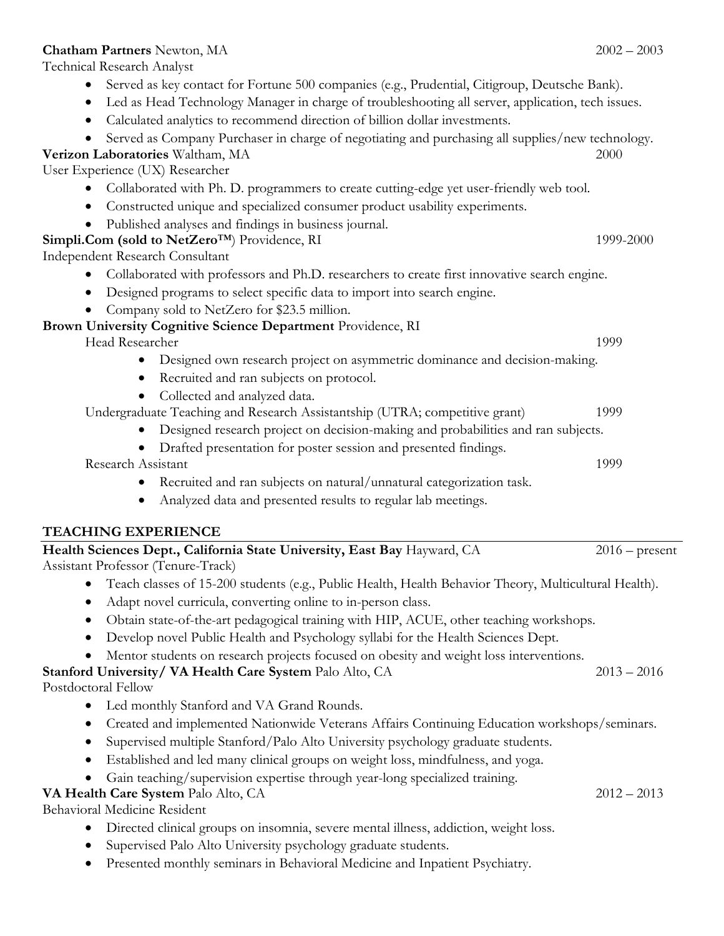#### **Chatham Partners** Newton, MA 2002 – 2003

Technical Research Analyst

- Served as key contact for Fortune 500 companies (e.g., Prudential, Citigroup, Deutsche Bank).
- Led as Head Technology Manager in charge of troubleshooting all server, application, tech issues.
- Calculated analytics to recommend direction of billion dollar investments.
- Served as Company Purchaser in charge of negotiating and purchasing all supplies/new technology.
- **Verizon Laboratories** Waltham, MA 2000

User Experience (UX) Researcher

- Collaborated with Ph. D. programmers to create cutting-edge yet user-friendly web tool.
- Constructed unique and specialized consumer product usability experiments.
- Published analyses and findings in business journal.

#### **Simpli.Com (sold to NetZero**<sup>™)</sup> Providence, RI 1999-2000

Independent Research Consultant

- Collaborated with professors and Ph.D. researchers to create first innovative search engine.
- Designed programs to select specific data to import into search engine.
- Company sold to NetZero for \$23.5 million.

#### **Brown University Cognitive Science Department** Providence, RI

Head Researcher 1999

- Designed own research project on asymmetric dominance and decision-making.
- Recruited and ran subjects on protocol.
- Collected and analyzed data.

#### Undergraduate Teaching and Research Assistantship (UTRA; competitive grant) 1999

- Designed research project on decision-making and probabilities and ran subjects.
- Drafted presentation for poster session and presented findings.

Research Assistant 1999

- Recruited and ran subjects on natural/unnatural categorization task.
- Analyzed data and presented results to regular lab meetings.

## **TEACHING EXPERIENCE**

| Health Sciences Dept., California State University, East Bay Hayward, CA | $2016$ – present |
|--------------------------------------------------------------------------|------------------|
| Assistant Professor (Tenure-Track)                                       |                  |

- Teach classes of 15-200 students (e.g., Public Health, Health Behavior Theory, Multicultural Health).
- Adapt novel curricula, converting online to in-person class.
- Obtain state-of-the-art pedagogical training with HIP, ACUE, other teaching workshops.
- Develop novel Public Health and Psychology syllabi for the Health Sciences Dept.
- Mentor students on research projects focused on obesity and weight loss interventions.

## **Stanford University/ VA Health Care System** Palo Alto, CA 2013 – 2016

Postdoctoral Fellow

- Led monthly Stanford and VA Grand Rounds.
- Created and implemented Nationwide Veterans Affairs Continuing Education workshops/seminars.
- Supervised multiple Stanford/Palo Alto University psychology graduate students.
- Established and led many clinical groups on weight loss, mindfulness, and yoga.
- Gain teaching/supervision expertise through year-long specialized training.

## **VA Health Care System** Palo Alto, CA 2012 – 2013

Behavioral Medicine Resident

- Directed clinical groups on insomnia, severe mental illness, addiction, weight loss.
- Supervised Palo Alto University psychology graduate students.
- Presented monthly seminars in Behavioral Medicine and Inpatient Psychiatry.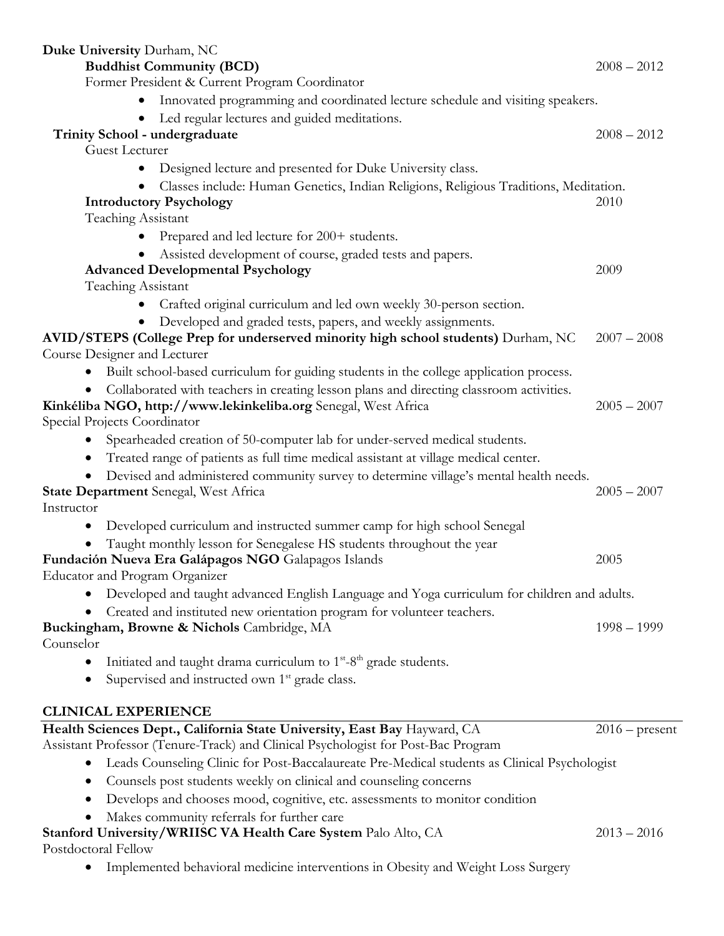| Duke University Durham, NC                                                                                                                        |                  |
|---------------------------------------------------------------------------------------------------------------------------------------------------|------------------|
| <b>Buddhist Community (BCD)</b>                                                                                                                   | $2008 - 2012$    |
| Former President & Current Program Coordinator                                                                                                    |                  |
| Innovated programming and coordinated lecture schedule and visiting speakers.                                                                     |                  |
| Led regular lectures and guided meditations.                                                                                                      |                  |
| Trinity School - undergraduate                                                                                                                    | $2008 - 2012$    |
| Guest Lecturer                                                                                                                                    |                  |
| Designed lecture and presented for Duke University class.<br>$\bullet$                                                                            |                  |
| Classes include: Human Genetics, Indian Religions, Religious Traditions, Meditation.                                                              |                  |
| <b>Introductory Psychology</b>                                                                                                                    | 2010             |
| Teaching Assistant                                                                                                                                |                  |
| Prepared and led lecture for 200+ students.                                                                                                       |                  |
| Assisted development of course, graded tests and papers.<br>$\bullet$                                                                             | 2009             |
| <b>Advanced Developmental Psychology</b><br>Teaching Assistant                                                                                    |                  |
| Crafted original curriculum and led own weekly 30-person section.                                                                                 |                  |
|                                                                                                                                                   |                  |
| Developed and graded tests, papers, and weekly assignments.<br>AVID/STEPS (College Prep for underserved minority high school students) Durham, NC | $2007 - 2008$    |
| Course Designer and Lecturer                                                                                                                      |                  |
| Built school-based curriculum for guiding students in the college application process.<br>$\bullet$                                               |                  |
| Collaborated with teachers in creating lesson plans and directing classroom activities.<br>$\bullet$                                              |                  |
| Kinkéliba NGO, http://www.lekinkeliba.org Senegal, West Africa                                                                                    | $2005 - 2007$    |
| Special Projects Coordinator                                                                                                                      |                  |
| Spearheaded creation of 50-computer lab for under-served medical students.<br>$\bullet$                                                           |                  |
| Treated range of patients as full time medical assistant at village medical center.                                                               |                  |
| Devised and administered community survey to determine village's mental health needs.                                                             |                  |
| <b>State Department</b> Senegal, West Africa                                                                                                      | $2005 - 2007$    |
| Instructor                                                                                                                                        |                  |
| Developed curriculum and instructed summer camp for high school Senegal<br>$\bullet$                                                              |                  |
| Taught monthly lesson for Senegalese HS students throughout the year                                                                              |                  |
| Fundación Nueva Era Galápagos NGO Galapagos Islands                                                                                               | 2005             |
| Educator and Program Organizer                                                                                                                    |                  |
| Developed and taught advanced English Language and Yoga curriculum for children and adults.                                                       |                  |
| Created and instituted new orientation program for volunteer teachers.<br>$\bullet$                                                               |                  |
| Buckingham, Browne & Nichols Cambridge, MA                                                                                                        | $1998 - 1999$    |
| Counselor                                                                                                                                         |                  |
| Initiated and taught drama curriculum to $1st - 8th$ grade students.<br>$\bullet$                                                                 |                  |
| Supervised and instructed own 1 <sup>st</sup> grade class.<br>$\bullet$                                                                           |                  |
| <b>CLINICAL EXPERIENCE</b>                                                                                                                        |                  |
| Health Sciences Dept., California State University, East Bay Hayward, CA                                                                          | $2016$ – present |
| Assistant Professor (Tenure-Track) and Clinical Psychologist for Post-Bac Program                                                                 |                  |
| Leads Counseling Clinic for Post-Baccalaureate Pre-Medical students as Clinical Psychologist                                                      |                  |
| Counsels post students weekly on clinical and counseling concerns<br>$\bullet$                                                                    |                  |
| Develops and chooses mood, cognitive, etc. assessments to monitor condition<br>$\bullet$                                                          |                  |
| Makes community referrals for further care                                                                                                        |                  |
| Stanford University/WRIISC VA Health Care System Palo Alto, CA                                                                                    | $2013 - 2016$    |
| Postdoctoral Fellow                                                                                                                               |                  |
| Implemented behavioral medicine interventions in Obesity and Weight Loss Surgery<br>$\bullet$                                                     |                  |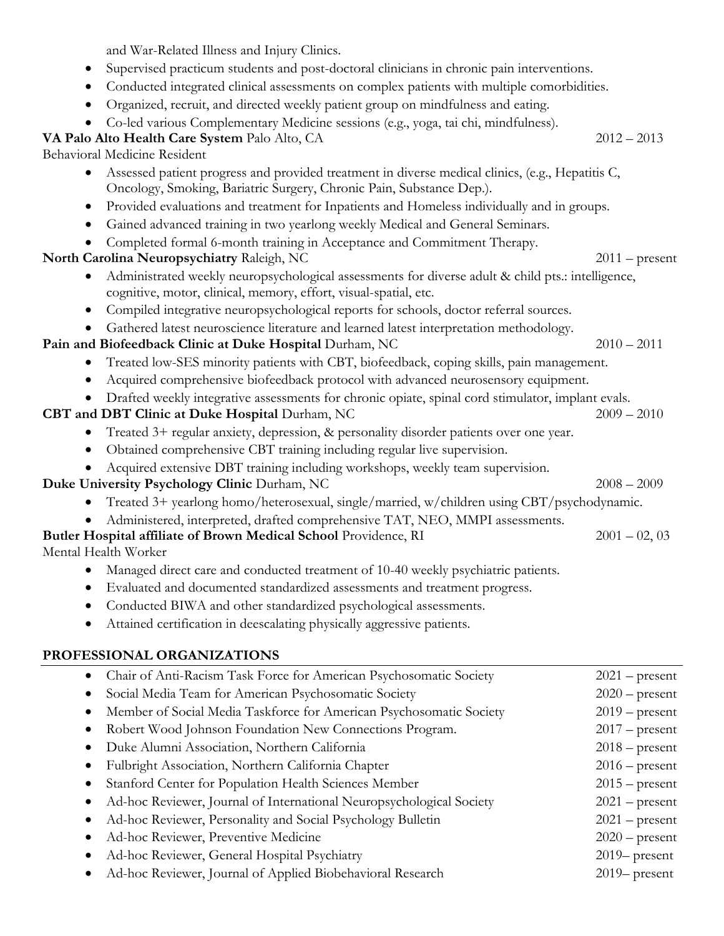and War-Related Illness and Injury Clinics.

- Supervised practicum students and post-doctoral clinicians in chronic pain interventions.
- Conducted integrated clinical assessments on complex patients with multiple comorbidities.
- Organized, recruit, and directed weekly patient group on mindfulness and eating.
- Co-led various Complementary Medicine sessions (e.g., yoga, tai chi, mindfulness).

# **VA Palo Alto Health Care System** Palo Alto, CA 2012 – 2013

Behavioral Medicine Resident

- Assessed patient progress and provided treatment in diverse medical clinics, (e.g., Hepatitis C, Oncology, Smoking, Bariatric Surgery, Chronic Pain, Substance Dep.).
- Provided evaluations and treatment for Inpatients and Homeless individually and in groups.
- Gained advanced training in two yearlong weekly Medical and General Seminars.
- Completed formal 6-month training in Acceptance and Commitment Therapy.

# **North Carolina Neuropsychiatry** Raleigh, NC 2011 – present

- Administrated weekly neuropsychological assessments for diverse adult & child pts.: intelligence, cognitive, motor, clinical, memory, effort, visual-spatial, etc.
- Compiled integrative neuropsychological reports for schools, doctor referral sources.
- Gathered latest neuroscience literature and learned latest interpretation methodology.

# **Pain and Biofeedback Clinic at Duke Hospital Durham, NC** 2010 – 2011

- Treated low-SES minority patients with CBT, biofeedback, coping skills, pain management.
- Acquired comprehensive biofeedback protocol with advanced neurosensory equipment.
- Drafted weekly integrative assessments for chronic opiate, spinal cord stimulator, implant evals.

# **CBT and DBT Clinic at Duke Hospital Durham, NC** 2009 – 2010

- Treated 3+ regular anxiety, depression, & personality disorder patients over one year.
- Obtained comprehensive CBT training including regular live supervision.
- Acquired extensive DBT training including workshops, weekly team supervision.

# **Duke University Psychology Clinic Durham, NC** 2008 – 2009

- Treated 3+ yearlong homo/heterosexual, single/married, w/children using CBT/psychodynamic.
- Administered, interpreted, drafted comprehensive TAT, NEO, MMPI assessments.

# **Butler Hospital affiliate of Brown Medical School** Providence, RI 2001 – 02, 03

Mental Health Worker

- Managed direct care and conducted treatment of 10-40 weekly psychiatric patients.
- Evaluated and documented standardized assessments and treatment progress.
- Conducted BIWA and other standardized psychological assessments.
- Attained certification in deescalating physically aggressive patients.

# **PROFESSIONAL ORGANIZATIONS**

| Chair of Anti-Racism Task Force for American Psychosomatic Society   | $2021$ – present |
|----------------------------------------------------------------------|------------------|
| Social Media Team for American Psychosomatic Society                 | $2020$ – present |
| Member of Social Media Taskforce for American Psychosomatic Society  | $2019$ – present |
| Robert Wood Johnson Foundation New Connections Program.              | $2017$ – present |
| Duke Alumni Association, Northern California                         | $2018$ – present |
| Fulbright Association, Northern California Chapter                   | $2016$ – present |
| Stanford Center for Population Health Sciences Member                | $2015$ – present |
| Ad-hoc Reviewer, Journal of International Neuropsychological Society | $2021$ – present |
| Ad-hoc Reviewer, Personality and Social Psychology Bulletin          | $2021$ – present |
| Ad-hoc Reviewer, Preventive Medicine                                 | $2020$ – present |
| Ad-hoc Reviewer, General Hospital Psychiatry                         | $2019$ present   |
| Ad-hoc Reviewer, Journal of Applied Biobehavioral Research           | $2019$ present   |
|                                                                      |                  |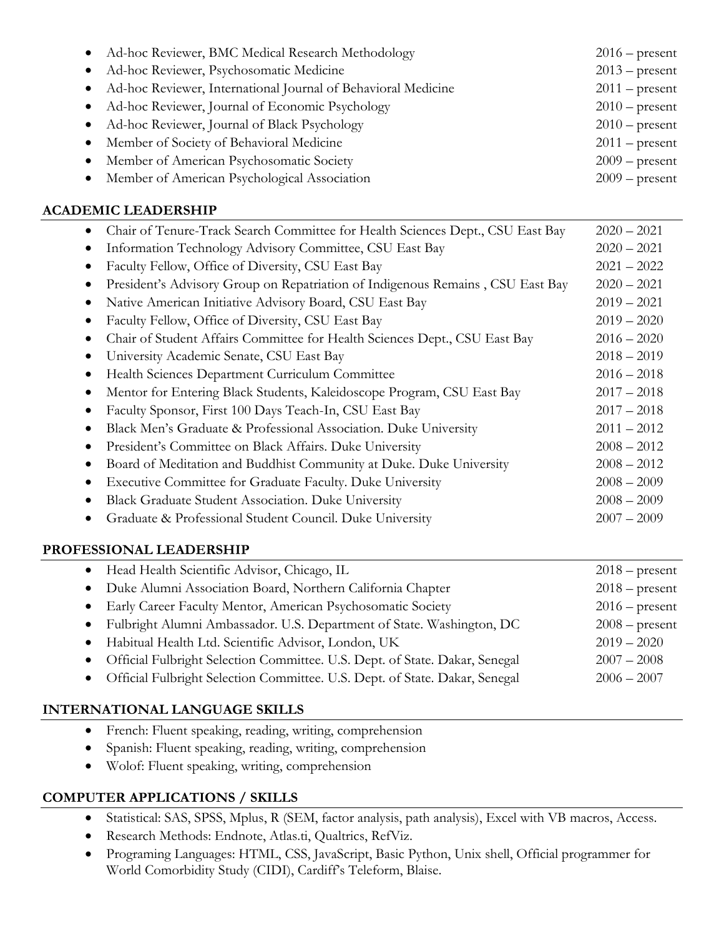| • Ad-hoc Reviewer, BMC Medical Research Methodology             | $2016$ – present |
|-----------------------------------------------------------------|------------------|
| · Ad-hoc Reviewer, Psychosomatic Medicine                       | $2013$ – present |
| • Ad-hoc Reviewer, International Journal of Behavioral Medicine | $2011$ – present |
| • Ad-hoc Reviewer, Journal of Economic Psychology               | $2010$ – present |
| • Ad-hoc Reviewer, Journal of Black Psychology                  | $2010$ – present |
| • Member of Society of Behavioral Medicine                      | $2011$ – present |
| • Member of American Psychosomatic Society                      | $2009$ – present |
| • Member of American Psychological Association                  | $2009$ – present |

## **ACADEMIC LEADERSHIP**

| $\bullet$ | Chair of Tenure-Track Search Committee for Health Sciences Dept., CSU East Bay | $2020 - 2021$ |
|-----------|--------------------------------------------------------------------------------|---------------|
|           | Information Technology Advisory Committee, CSU East Bay                        | $2020 - 2021$ |
|           | Faculty Fellow, Office of Diversity, CSU East Bay                              | $2021 - 2022$ |
|           | President's Advisory Group on Repatriation of Indigenous Remains, CSU East Bay | $2020 - 2021$ |
|           | Native American Initiative Advisory Board, CSU East Bay                        | $2019 - 2021$ |
|           | Faculty Fellow, Office of Diversity, CSU East Bay                              | $2019 - 2020$ |
|           | Chair of Student Affairs Committee for Health Sciences Dept., CSU East Bay     | $2016 - 2020$ |
|           | University Academic Senate, CSU East Bay                                       | $2018 - 2019$ |
|           | Health Sciences Department Curriculum Committee                                | $2016 - 2018$ |
|           | Mentor for Entering Black Students, Kaleidoscope Program, CSU East Bay         | $2017 - 2018$ |
|           | Faculty Sponsor, First 100 Days Teach-In, CSU East Bay                         | $2017 - 2018$ |
|           | Black Men's Graduate & Professional Association. Duke University               | $2011 - 2012$ |
|           | President's Committee on Black Affairs. Duke University                        | $2008 - 2012$ |
|           | Board of Meditation and Buddhist Community at Duke. Duke University            | $2008 - 2012$ |
|           | Executive Committee for Graduate Faculty. Duke University                      | $2008 - 2009$ |
|           | Black Graduate Student Association. Duke University                            | $2008 - 2009$ |
|           | Graduate & Professional Student Council. Duke University                       | $2007 - 2009$ |
|           |                                                                                |               |

# **PROFESSIONAL LEADERSHIP**

| • Head Health Scientific Advisor, Chicago, IL                                 | $2018$ – present |
|-------------------------------------------------------------------------------|------------------|
| • Duke Alumni Association Board, Northern California Chapter                  | $2018$ – present |
| • Early Career Faculty Mentor, American Psychosomatic Society                 | $2016$ – present |
| • Fulbright Alumni Ambassador. U.S. Department of State. Washington, DC       | $2008$ – present |
| • Habitual Health Ltd. Scientific Advisor, London, UK                         | $2019 - 2020$    |
| · Official Fulbright Selection Committee. U.S. Dept. of State. Dakar, Senegal | $2007 - 2008$    |
| • Official Fulbright Selection Committee. U.S. Dept. of State. Dakar, Senegal | $2006 - 2007$    |
|                                                                               |                  |

# **INTERNATIONAL LANGUAGE SKILLS**

- French: Fluent speaking, reading, writing, comprehension
- Spanish: Fluent speaking, reading, writing, comprehension
- Wolof: Fluent speaking, writing, comprehension

# **COMPUTER APPLICATIONS / SKILLS**

- Statistical: SAS, SPSS, Mplus, R (SEM, factor analysis, path analysis), Excel with VB macros, Access.
- Research Methods: Endnote, Atlas.ti, Qualtrics, RefViz.
- Programing Languages: HTML, CSS, JavaScript, Basic Python, Unix shell, Official programmer for World Comorbidity Study (CIDI), Cardiff's Teleform, Blaise.